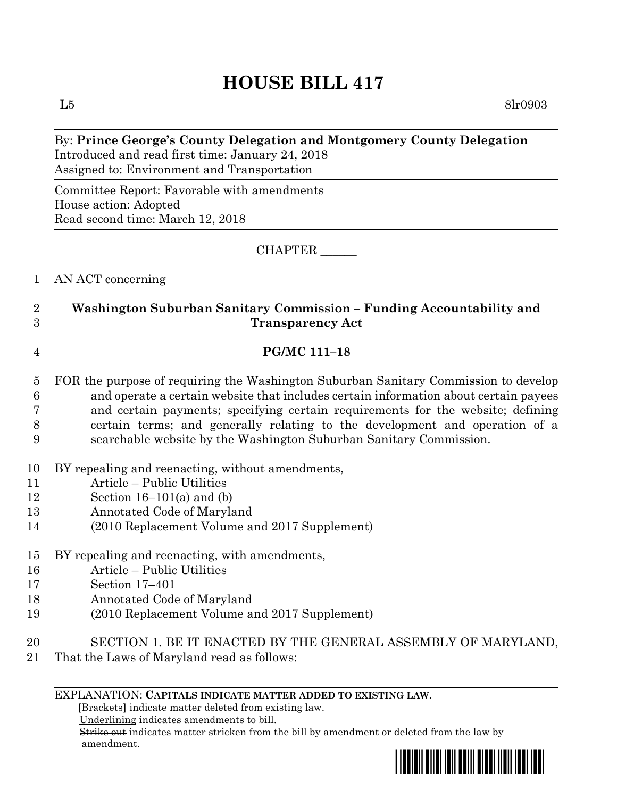# **HOUSE BILL 417**

 $L5$  8lr0903

### By: **Prince George's County Delegation and Montgomery County Delegation** Introduced and read first time: January 24, 2018 Assigned to: Environment and Transportation

Committee Report: Favorable with amendments House action: Adopted Read second time: March 12, 2018

CHAPTER \_\_\_\_\_\_

1 AN ACT concerning

# 2 **Washington Suburban Sanitary Commission – Funding Accountability and**  3 **Transparency Act**

#### 4 **PG/MC 111–18**

- 5 FOR the purpose of requiring the Washington Suburban Sanitary Commission to develop 6 and operate a certain website that includes certain information about certain payees 7 and certain payments; specifying certain requirements for the website; defining 8 certain terms; and generally relating to the development and operation of a 9 searchable website by the Washington Suburban Sanitary Commission.
- 10 BY repealing and reenacting, without amendments,
- 11 Article Public Utilities
- 12 Section  $16-101(a)$  and  $(b)$
- 13 Annotated Code of Maryland
- 14 (2010 Replacement Volume and 2017 Supplement)

# 15 BY repealing and reenacting, with amendments,

- 16 Article Public Utilities
- 17 Section 17–401
- 18 Annotated Code of Maryland
- 19 (2010 Replacement Volume and 2017 Supplement)
- 20 SECTION 1. BE IT ENACTED BY THE GENERAL ASSEMBLY OF MARYLAND,
- 21 That the Laws of Maryland read as follows:

#### EXPLANATION: **CAPITALS INDICATE MATTER ADDED TO EXISTING LAW**.

 **[**Brackets**]** indicate matter deleted from existing law.

Underlining indicates amendments to bill.

 Strike out indicates matter stricken from the bill by amendment or deleted from the law by amendment.

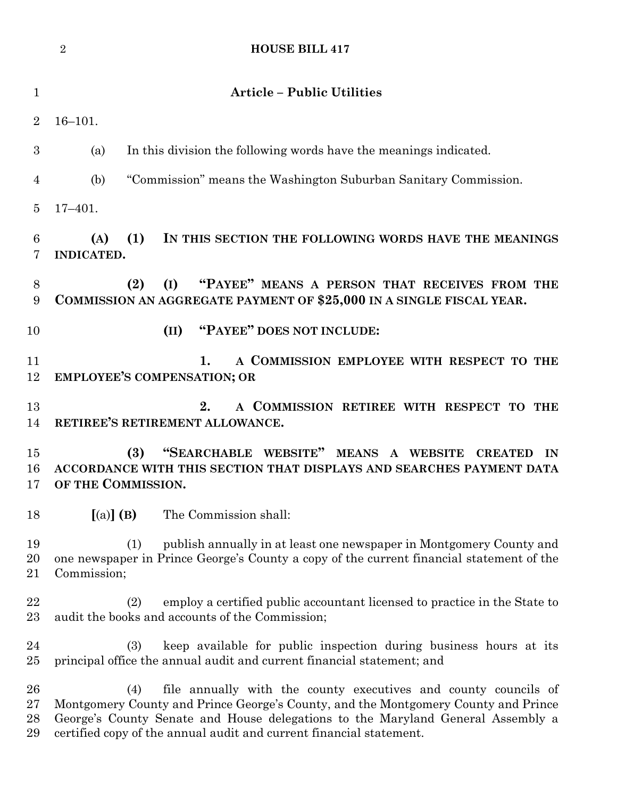|                          | $\overline{2}$<br><b>HOUSE BILL 417</b>                                                                                                                                                                                                                                                                                |
|--------------------------|------------------------------------------------------------------------------------------------------------------------------------------------------------------------------------------------------------------------------------------------------------------------------------------------------------------------|
| $\mathbf{1}$             | <b>Article - Public Utilities</b>                                                                                                                                                                                                                                                                                      |
| $\overline{2}$           | $16 - 101.$                                                                                                                                                                                                                                                                                                            |
| 3                        | In this division the following words have the meanings indicated.<br>(a)                                                                                                                                                                                                                                               |
| 4                        | "Commission" means the Washington Suburban Sanitary Commission.<br>(b)                                                                                                                                                                                                                                                 |
| $\overline{5}$           | $17 - 401.$                                                                                                                                                                                                                                                                                                            |
| 6<br>7                   | (1)<br>IN THIS SECTION THE FOLLOWING WORDS HAVE THE MEANINGS<br>(A)<br>INDICATED.                                                                                                                                                                                                                                      |
| 8<br>9                   | "PAYEE" MEANS A PERSON THAT RECEIVES FROM THE<br>(2)<br>(I)<br>COMMISSION AN AGGREGATE PAYMENT OF \$25,000 IN A SINGLE FISCAL YEAR.                                                                                                                                                                                    |
| 10                       | "PAYEE" DOES NOT INCLUDE:<br>(II)                                                                                                                                                                                                                                                                                      |
| 11<br>12                 | A COMMISSION EMPLOYEE WITH RESPECT TO THE<br>1.<br><b>EMPLOYEE'S COMPENSATION; OR</b>                                                                                                                                                                                                                                  |
| 13<br>14                 | A COMMISSION RETIREE WITH RESPECT TO THE<br>2.<br>RETIREE'S RETIREMENT ALLOWANCE.                                                                                                                                                                                                                                      |
| 15<br>16<br>17           | "SEARCHABLE WEBSITE" MEANS A WEBSITE<br>(3)<br><b>CREATED</b><br>IN<br>ACCORDANCE WITH THIS SECTION THAT DISPLAYS AND SEARCHES PAYMENT DATA<br>OF THE COMMISSION.                                                                                                                                                      |
| 18                       | $[(a)]$ (B)<br>The Commission shall:                                                                                                                                                                                                                                                                                   |
| 19<br>20<br>21           | publish annually in at least one newspaper in Montgomery County and<br>(1)<br>one newspaper in Prince George's County a copy of the current financial statement of the<br>Commission;                                                                                                                                  |
| 22<br>23                 | employ a certified public accountant licensed to practice in the State to<br>(2)<br>audit the books and accounts of the Commission;                                                                                                                                                                                    |
| 24<br>$25\,$             | keep available for public inspection during business hours at its<br>(3)<br>principal office the annual audit and current financial statement; and                                                                                                                                                                     |
| 26<br>$27\,$<br>28<br>29 | file annually with the county executives and county councils of<br>(4)<br>Montgomery County and Prince George's County, and the Montgomery County and Prince<br>George's County Senate and House delegations to the Maryland General Assembly a<br>certified copy of the annual audit and current financial statement. |